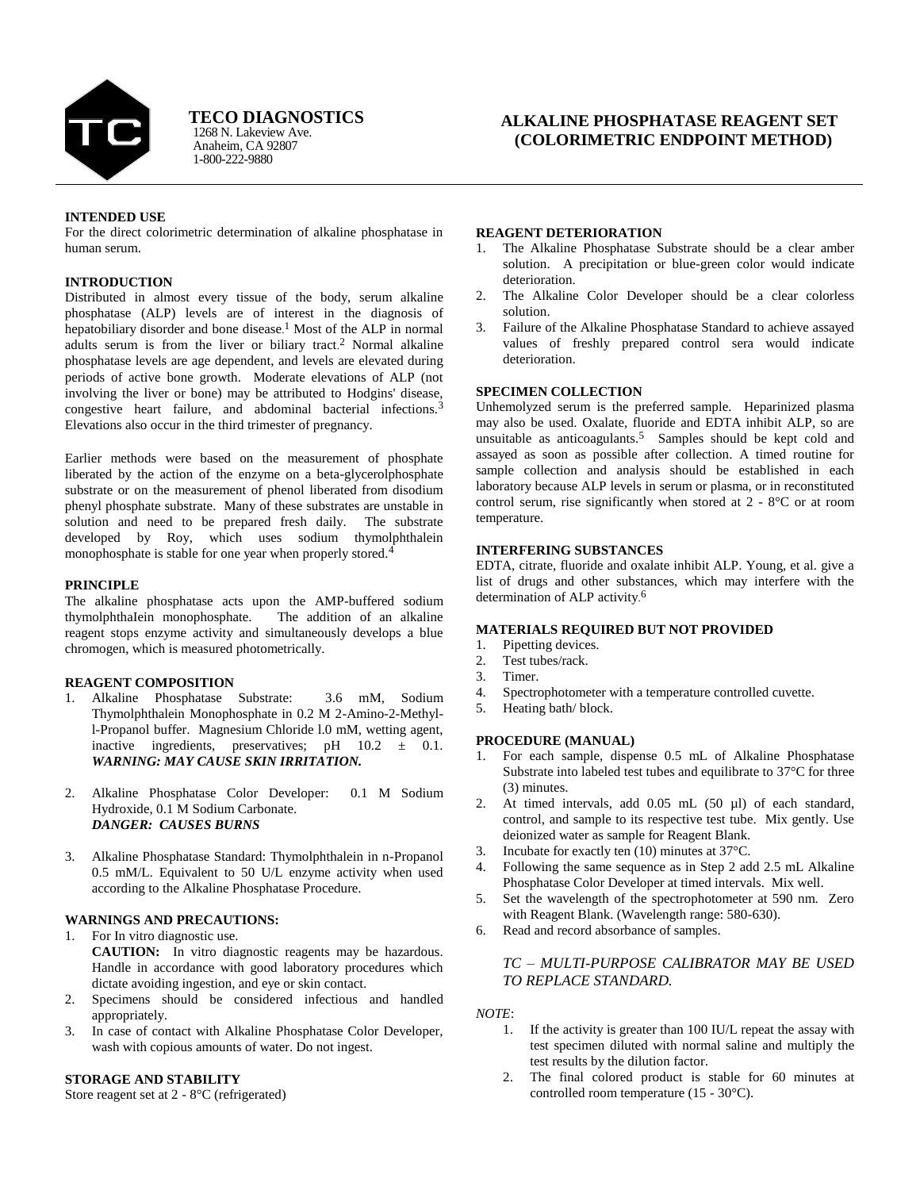

1268 N. Lakeview Ave. **TECO DIAGNOSTICS**

Anaheim, CA 92807 1-800-222-9880

# **ALKALINE PHOSPHATASE REAGENT SET (COLORIMETRIC ENDPOINT METHOD)**

## **INTENDED USE**

For the direct colorimetric determination of alkaline phosphatase in human serum.

## **INTRODUCTION**

Distributed in almost every tissue of the body, serum alkaline phosphatase (ALP) levels are of interest in the diagnosis of hepatobiliary disorder and bone disease.<sup>1</sup> Most of the ALP in normal adults serum is from the liver or biliary tract. <sup>2</sup> Normal alkaline phosphatase levels are age dependent, and levels are elevated during periods of active bone growth. Moderate elevations of ALP (not involving the liver or bone) may be attributed to Hodgins' disease, congestive heart failure, and abdominal bacterial infections.<sup>3</sup> Elevations also occur in the third trimester of pregnancy.

Earlier methods were based on the measurement of phosphate liberated by the action of the enzyme on a beta-glycerolphosphate substrate or on the measurement of phenol liberated from disodium phenyl phosphate substrate. Many of these substrates are unstable in solution and need to be prepared fresh daily. The substrate developed by Roy, which uses sodium thymolphthalein monophosphate is stable for one year when properly stored.<sup>4</sup>

# **PRINCIPLE**

The alkaline phosphatase acts upon the AMP-buffered sodium thymolphthaIein monophosphate. The addition of an alkaline reagent stops enzyme activity and simultaneously develops a blue chromogen, which is measured photometrically.

#### **REAGENT COMPOSITION**

- 1. Alkaline Phosphatase Substrate: 3.6 mM, Sodium Thymolphthalein Monophosphate in 0.2 M 2-Amino-2-Methyll-Propanol buffer. Magnesium Chloride l.0 mM, wetting agent, inactive ingredients, preservatives; pH 10.2 ± 0.1. *WARNING: MAY CAUSE SKIN IRRITATION.*
- 2. Alkaline Phosphatase Color Developer: 0.1 M Sodium Hydroxide, 0.1 M Sodium Carbonate. *DANGER: CAUSES BURNS*
- 3. Alkaline Phosphatase Standard: Thymolphthalein in n-Propanol 0.5 mM/L. Equivalent to 50 U/L enzyme activity when used according to the Alkaline Phosphatase Procedure.

# **WARNINGS AND PRECAUTIONS:**

1. For In vitro diagnostic use. **CAUTION:** In vitro diagnostic reagents may be hazardous. Handle in accordance with good laboratory procedures which dictate avoiding ingestion, and eye or skin contact.

- 2. Specimens should be considered infectious and handled appropriately.
- 3. In case of contact with Alkaline Phosphatase Color Developer, wash with copious amounts of water. Do not ingest.

## **STORAGE AND STABILITY**

Store reagent set at 2 - 8°C (refrigerated)

#### **REAGENT DETERIORATION**

- 1. The Alkaline Phosphatase Substrate should be a clear amber solution. A precipitation or blue-green color would indicate deterioration.
- 2. The Alkaline Color Developer should be a clear colorless solution.
- 3. Failure of the Alkaline Phosphatase Standard to achieve assayed values of freshly prepared control sera would indicate deterioration.

## **SPECIMEN COLLECTION**

Unhemolyzed serum is the preferred sample. Heparinized plasma may also be used. Oxalate, fluoride and EDTA inhibit ALP, so are unsuitable as anticoagulants.<sup>5</sup> Samples should be kept cold and assayed as soon as possible after collection. A timed routine for sample collection and analysis should be established in each laboratory because ALP levels in serum or plasma, or in reconstituted control serum, rise significantly when stored at 2 - 8°C or at room temperature.

## **INTERFERING SUBSTANCES**

EDTA, citrate, fluoride and oxalate inhibit ALP. Young, et al. give a list of drugs and other substances, which may interfere with the determination of ALP activity. 6

# **MATERIALS REQUIRED BUT NOT PROVIDED**

- 1. Pipetting devices.<br>2. Test tubes/rack
- Test tubes/rack.
- 3. Timer.
- 4. Spectrophotometer with a temperature controlled cuvette.
- 5. Heating bath/ block.

#### **PROCEDURE (MANUAL)**

- 1. For each sample, dispense 0.5 mL of Alkaline Phosphatase Substrate into labeled test tubes and equilibrate to 37°C for three (3) minutes.
- 2. At timed intervals, add 0.05 mL (50 µl) of each standard, control, and sample to its respective test tube. Mix gently. Use deionized water as sample for Reagent Blank.
- 3. Incubate for exactly ten (10) minutes at 37°C.
- 4. Following the same sequence as in Step 2 add 2.5 mL Alkaline Phosphatase Color Developer at timed intervals. Mix well.
- 5. Set the wavelength of the spectrophotometer at 590 nm. Zero with Reagent Blank. (Wavelength range: 580-630).
- 6. Read and record absorbance of samples.

# *TC – MULTI-PURPOSE CALIBRATOR MAY BE USED TO REPLACE STANDARD.*

#### *NOTE*:

- 1. If the activity is greater than 100 IU/L repeat the assay with test specimen diluted with normal saline and multiply the test results by the dilution factor.
- 2. The final colored product is stable for 60 minutes at controlled room temperature (15 - 30°C).